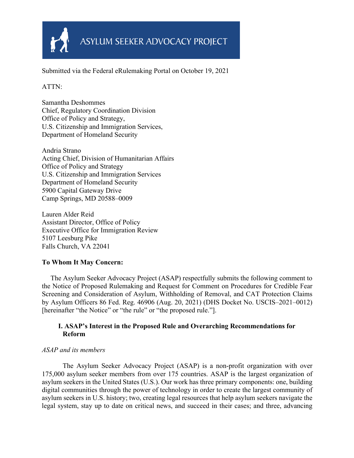

Submitted via the Federal eRulemaking Portal on October 19, 2021

# ATTN:

Samantha Deshommes Chief, Regulatory Coordination Division Office of Policy and Strategy, U.S. Citizenship and Immigration Services, Department of Homeland Security

Andria Strano Acting Chief, Division of Humanitarian Affairs Office of Policy and Strategy U.S. Citizenship and Immigration Services Department of Homeland Security 5900 Capital Gateway Drive Camp Springs, MD 20588–0009

Lauren Alder Reid Assistant Director, Office of Policy Executive Office for Immigration Review 5107 Leesburg Pike Falls Church, VA 22041

# **To Whom It May Concern:**

 The Asylum Seeker Advocacy Project (ASAP) respectfully submits the following comment to the Notice of Proposed Rulemaking and Request for Comment on Procedures for Credible Fear Screening and Consideration of Asylum, Withholding of Removal, and CAT Protection Claims by Asylum Officers 86 Fed. Reg. 46906 (Aug. 20, 2021) (DHS Docket No. USCIS–2021–0012) [hereinafter "the Notice" or "the rule" or "the proposed rule."].

# **I. ASAP's Interest in the Proposed Rule and Overarching Recommendations for Reform**

# *ASAP and its members*

The Asylum Seeker Advocacy Project (ASAP) is a non-profit organization with over 175,000 asylum seeker members from over 175 countries. ASAP is the largest organization of asylum seekers in the United States (U.S.). Our work has three primary components: one, building digital communities through the power of technology in order to create the largest community of asylum seekers in U.S. history; two, creating legal resources that help asylum seekers navigate the legal system, stay up to date on critical news, and succeed in their cases; and three, advancing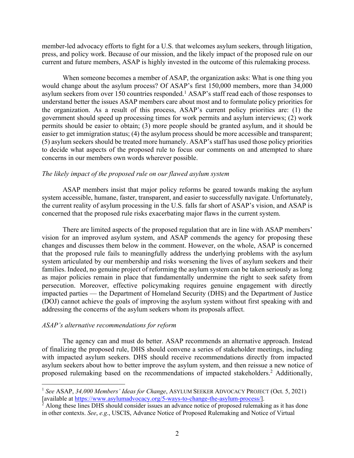member-led advocacy efforts to fight for a U.S. that welcomes asylum seekers, through litigation, press, and policy work. Because of our mission, and the likely impact of the proposed rule on our current and future members, ASAP is highly invested in the outcome of this rulemaking process.

When someone becomes a member of ASAP, the organization asks: What is one thing you would change about the asylum process? Of ASAP's first 150,000 members, more than 34,000 asylum seekers from over 150 countries responded. <sup>1</sup> ASAP's staff read each of those responses to understand better the issues ASAP members care about most and to formulate policy priorities for the organization. As a result of this process, ASAP's current policy priorities are: (1) the government should speed up processing times for work permits and asylum interviews; (2) work permits should be easier to obtain; (3) more people should be granted asylum, and it should be easier to get immigration status; (4) the asylum process should be more accessible and transparent; (5) asylum seekers should be treated more humanely. ASAP's staff has used those policy priorities to decide what aspects of the proposed rule to focus our comments on and attempted to share concerns in our members own words wherever possible.

#### *The likely impact of the proposed rule on our flawed asylum system*

ASAP members insist that major policy reforms be geared towards making the asylum system accessible, humane, faster, transparent, and easier to successfully navigate. Unfortunately, the current reality of asylum processing in the U.S. falls far short of ASAP's vision, and ASAP is concerned that the proposed rule risks exacerbating major flaws in the current system.

There are limited aspects of the proposed regulation that are in line with ASAP members' vision for an improved asylum system, and ASAP commends the agency for proposing these changes and discusses them below in the comment. However, on the whole, ASAP is concerned that the proposed rule fails to meaningfully address the underlying problems with the asylum system articulated by our membership and risks worsening the lives of asylum seekers and their families. Indeed, no genuine project of reforming the asylum system can be taken seriously as long as major policies remain in place that fundamentally undermine the right to seek safety from persecution. Moreover, effective policymaking requires genuine engagement with directly impacted parties — the Department of Homeland Security (DHS) and the Department of Justice (DOJ) cannot achieve the goals of improving the asylum system without first speaking with and addressing the concerns of the asylum seekers whom its proposals affect.

#### *ASAP's alternative recommendations for reform*

The agency can and must do better. ASAP recommends an alternative approach. Instead of finalizing the proposed rule, DHS should convene a series of stakeholder meetings, including with impacted asylum seekers. DHS should receive recommendations directly from impacted asylum seekers about how to better improve the asylum system, and then reissue a new notice of proposed rulemaking based on the recommendations of impacted stakeholders. <sup>2</sup> Additionally,

<sup>1</sup> *See* ASAP, *34,000 Members' Ideas for Change*, ASYLUM SEEKER ADVOCACY PROJECT (Oct. 5, 2021) [available at https://www.asylumadvocacy.org/5-ways-to-change-the-asylum-process/].

 $^{\frac{5}{2}}$  Along these lines DHS should consider issues an advance notice of proposed rulemaking as it has done in other contexts. *See*, *e.g*., USCIS, Advance Notice of Proposed Rulemaking and Notice of Virtual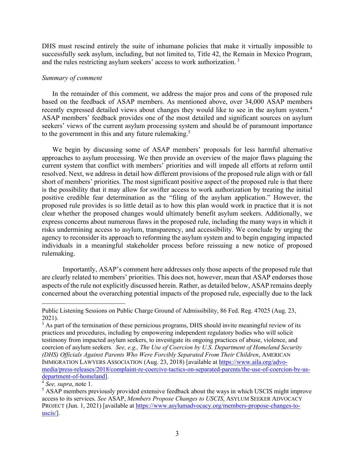DHS must rescind entirely the suite of inhumane policies that make it virtually impossible to successfully seek asylum, including, but not limited to, Title 42, the Remain in Mexico Program, and the rules restricting asylum seekers' access to work authorization. <sup>3</sup>

#### *Summary of comment*

In the remainder of this comment, we address the major pros and cons of the proposed rule based on the feedback of ASAP members. As mentioned above, over 34,000 ASAP members recently expressed detailed views about changes they would like to see in the asylum system.<sup>4</sup> ASAP members' feedback provides one of the most detailed and significant sources on asylum seekers' views of the current asylum processing system and should be of paramount importance to the government in this and any future rulemaking.<sup>5</sup>

We begin by discussing some of ASAP members' proposals for less harmful alternative approaches to asylum processing. We then provide an overview of the major flaws plaguing the current system that conflict with members' priorities and will impede all efforts at reform until resolved. Next, we address in detail how different provisions of the proposed rule align with or fall short of members' priorities. The most significant positive aspect of the proposed rule is that there is the possibility that it may allow for swifter access to work authorization by treating the initial positive credible fear determination as the "filing of the asylum application." However, the proposed rule provides is so little detail as to how this plan would work in practice that it is not clear whether the proposed changes would ultimately benefit asylum seekers. Additionally, we express concerns about numerous flaws in the proposed rule, including the many ways in which it risks undermining access to asylum, transparency, and accessibility. We conclude by urging the agency to reconsider its approach to reforming the asylum system and to begin engaging impacted individuals in a meaningful stakeholder process before reissuing a new notice of proposed rulemaking.

Importantly, ASAP's comment here addresses only those aspects of the proposed rule that are clearly related to members' priorities. This does not, however, mean that ASAP endorses those aspects of the rule not explicitly discussed herein. Rather, as detailed below, ASAP remains deeply concerned about the overarching potential impacts of the proposed rule, especially due to the lack

Public Listening Sessions on Public Charge Ground of Admissibility, 86 Fed. Reg. 47025 (Aug. 23, 2021).

<sup>&</sup>lt;sup>3</sup> As part of the termination of these pernicious programs, DHS should invite meaningful review of its practices and procedures, including by empowering independent regulatory bodies who will solicit testimony from impacted asylum seekers, to investigate its ongoing practices of abuse, violence, and coercion of asylum seekers. *See, e.g., The Use of Coercion by U.S. Department of Homeland Security (DHS) Officials Against Parents Who Were Forcibly Separated From Their Children*, AMERICAN IMMIGRATION LAWYERS ASSOCIATION (Aug. 23, 2018) [available at https://www.aila.org/advomedia/press-releases/2018/complaint-re-coercive-tactics-on-separated-parents/the-use-of-coercion-by-usdepartment-of-homeland].

<sup>4</sup> *See, supra*, note 1.

<sup>&</sup>lt;sup>5</sup> ASAP members previously provided extensive feedback about the ways in which USCIS might improve access to its services. *See* ASAP, *Members Propose Changes to USCIS*, ASYLUM SEEKER ADVOCACY PROJECT (Jun. 1, 2021) [available at https://www.asylumadvocacy.org/members-propose-changes-touscis/].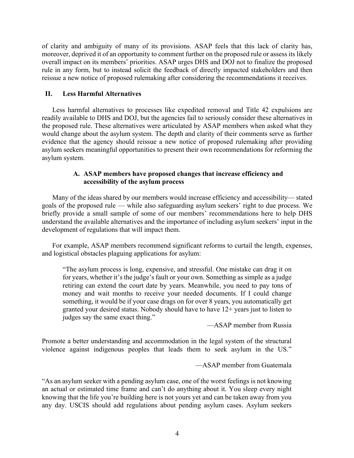of clarity and ambiguity of many of its provisions. ASAP feels that this lack of clarity has, moreover, deprived it of an opportunity to comment further on the proposed rule or assess its likely overall impact on its members' priorities. ASAP urges DHS and DOJ not to finalize the proposed rule in any form, but to instead solicit the feedback of directly impacted stakeholders and then reissue a new notice of proposed rulemaking after considering the recommendations it receives.

#### **II. Less Harmful Alternatives**

Less harmful alternatives to processes like expedited removal and Title 42 expulsions are readily available to DHS and DOJ, but the agencies fail to seriously consider these alternatives in the proposed rule. These alternatives were articulated by ASAP members when asked what they would change about the asylum system. The depth and clarity of their comments serve as further evidence that the agency should reissue a new notice of proposed rulemaking after providing asylum seekers meaningful opportunities to present their own recommendations for reforming the asylum system.

#### **A. ASAP members have proposed changes that increase efficiency and accessibility of the asylum process**

Many of the ideas shared by our members would increase efficiency and accessibility— stated goals of the proposed rule — while also safeguarding asylum seekers' right to due process. We briefly provide a small sample of some of our members' recommendations here to help DHS understand the available alternatives and the importance of including asylum seekers' input in the development of regulations that will impact them.

For example, ASAP members recommend significant reforms to curtail the length, expenses, and logistical obstacles plaguing applications for asylum:

"The asylum process is long, expensive, and stressful. One mistake can drag it on for years, whether it's the judge's fault or your own. Something as simple as a judge retiring can extend the court date by years. Meanwhile, you need to pay tons of money and wait months to receive your needed documents. If I could change something, it would be if your case drags on for over 8 years, you automatically get granted your desired status. Nobody should have to have 12+ years just to listen to judges say the same exact thing."

—ASAP member from Russia

Promote a better understanding and accommodation in the legal system of the structural violence against indigenous peoples that leads them to seek asylum in the US."

—ASAP member from Guatemala

"As an asylum seeker with a pending asylum case, one of the worst feelings is not knowing an actual or estimated time frame and can't do anything about it. You sleep every night knowing that the life you're building here is not yours yet and can be taken away from you any day. USCIS should add regulations about pending asylum cases. Asylum seekers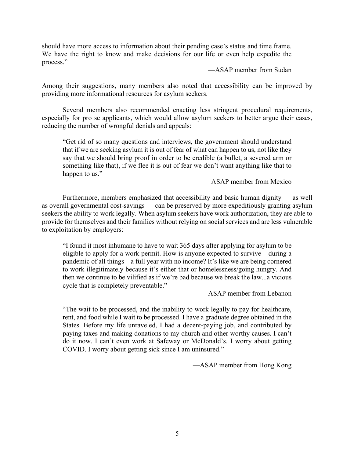should have more access to information about their pending case's status and time frame. We have the right to know and make decisions for our life or even help expedite the process."

—ASAP member from Sudan

Among their suggestions, many members also noted that accessibility can be improved by providing more informational resources for asylum seekers.

Several members also recommended enacting less stringent procedural requirements, especially for pro se applicants, which would allow asylum seekers to better argue their cases, reducing the number of wrongful denials and appeals:

"Get rid of so many questions and interviews, the government should understand that if we are seeking asylum it is out of fear of what can happen to us, not like they say that we should bring proof in order to be credible (a bullet, a severed arm or something like that), if we flee it is out of fear we don't want anything like that to happen to us."

—ASAP member from Mexico

Furthermore, members emphasized that accessibility and basic human dignity — as well as overall governmental cost-savings — can be preserved by more expeditiously granting asylum seekers the ability to work legally. When asylum seekers have work authorization, they are able to provide for themselves and their families without relying on social services and are less vulnerable to exploitation by employers:

"I found it most inhumane to have to wait 365 days after applying for asylum to be eligible to apply for a work permit. How is anyone expected to survive – during a pandemic of all things – a full year with no income? It's like we are being cornered to work illegitimately because it's either that or homelessness/going hungry. And then we continue to be vilified as if we're bad because we break the law...a vicious cycle that is completely preventable."

—ASAP member from Lebanon

"The wait to be processed, and the inability to work legally to pay for healthcare, rent, and food while I wait to be processed. I have a graduate degree obtained in the States. Before my life unraveled, I had a decent-paying job, and contributed by paying taxes and making donations to my church and other worthy causes. I can't do it now. I can't even work at Safeway or McDonald's. I worry about getting COVID. I worry about getting sick since I am uninsured."

—ASAP member from Hong Kong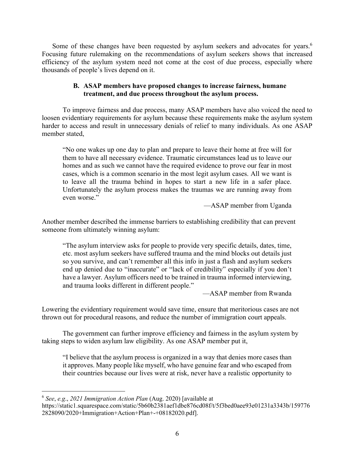Some of these changes have been requested by asylum seekers and advocates for years.<sup>6</sup> Focusing future rulemaking on the recommendations of asylum seekers shows that increased efficiency of the asylum system need not come at the cost of due process, especially where thousands of people's lives depend on it.

## **B. ASAP members have proposed changes to increase fairness, humane treatment, and due process throughout the asylum process.**

To improve fairness and due process, many ASAP members have also voiced the need to loosen evidentiary requirements for asylum because these requirements make the asylum system harder to access and result in unnecessary denials of relief to many individuals. As one ASAP member stated,

"No one wakes up one day to plan and prepare to leave their home at free will for them to have all necessary evidence. Traumatic circumstances lead us to leave our homes and as such we cannot have the required evidence to prove our fear in most cases, which is a common scenario in the most legit asylum cases. All we want is to leave all the trauma behind in hopes to start a new life in a safer place. Unfortunately the asylum process makes the traumas we are running away from even worse."

—ASAP member from Uganda

Another member described the immense barriers to establishing credibility that can prevent someone from ultimately winning asylum:

"The asylum interview asks for people to provide very specific details, dates, time, etc. most asylum seekers have suffered trauma and the mind blocks out details just so you survive, and can't remember all this info in just a flash and asylum seekers end up denied due to "inaccurate" or "lack of credibility" especially if you don't have a lawyer. Asylum officers need to be trained in trauma informed interviewing, and trauma looks different in different people."

—ASAP member from Rwanda

Lowering the evidentiary requirement would save time, ensure that meritorious cases are not thrown out for procedural reasons, and reduce the number of immigration court appeals.

The government can further improve efficiency and fairness in the asylum system by taking steps to widen asylum law eligibility. As one ASAP member put it,

"I believe that the asylum process is organized in a way that denies more cases than it approves. Many people like myself, who have genuine fear and who escaped from their countries because our lives were at risk, never have a realistic opportunity to

<sup>6</sup> *See*, *e.g*., *2021 Immigration Action Plan* (Aug. 2020) [available at

https://static1.squarespace.com/static/5b60b2381aef1dbe876cd08f/t/5f3bed0aee93e01231a3343b/159776 2828090/2020+Immigration+Action+Plan+-+08182020.pdf].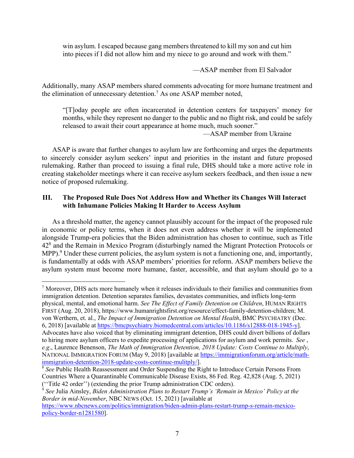win asylum. I escaped because gang members threatened to kill my son and cut him into pieces if I did not allow him and my niece to go around and work with them."

—ASAP member from El Salvador

Additionally, many ASAP members shared comments advocating for more humane treatment and the elimination of unnecessary detention.7 As one ASAP member noted,

"[T]oday people are often incarcerated in detention centers for taxpayers' money for months, while they represent no danger to the public and no flight risk, and could be safely released to await their court appearance at home much, much sooner."

—ASAP member from Ukraine

ASAP is aware that further changes to asylum law are forthcoming and urges the departments to sincerely consider asylum seekers' input and priorities in the instant and future proposed rulemaking. Rather than proceed to issuing a final rule, DHS should take a more active role in creating stakeholder meetings where it can receive asylum seekers feedback, and then issue a new notice of proposed rulemaking.

# **III. The Proposed Rule Does Not Address How and Whether its Changes Will Interact with Inhumane Policies Making It Harder to Access Asylum**

As a threshold matter, the agency cannot plausibly account for the impact of the proposed rule in economic or policy terms, when it does not even address whether it will be implemented alongside Trump-era policies that the Biden administration has chosen to continue, such as Title 428 and the Remain in Mexico Program (disturbingly named the Migrant Protection Protocols or MPP).<sup>9</sup> Under these current policies, the asylum system is not a functioning one, and, importantly, is fundamentally at odds with ASAP members' priorities for reform. ASAP members believe the asylum system must become more humane, faster, accessible, and that asylum should go to a

<sup>7</sup> Moreover, DHS acts more humanely when it releases individuals to their families and communities from immigration detention. Detention separates families, devastates communities, and inflicts long-term physical, mental, and emotional harm. *See The Effect of Family Detention on Children*, HUMAN RIGHTS FIRST (Aug. 20, 2018), https://www.humanrightsfirst.org/resource/effect-family-detention-children; M. von Werthern, et. al., *The Impact of Immigration Detention on Mental Health*, BMC PSYCHIATRY (Dec. 6, 2018) [available at https://bmcpsychiatry.biomedcentral.com/articles/10.1186/s12888-018-1945-y]. Advocates have also voiced that by eliminating immigrant detention, DHS could divert billions of dollars to hiring more asylum officers to expedite processing of applications for asylum and work permits. *See* , *e.g*., Laurence Benenson, *The Math of Immigration Detention, 2018 Update: Costs Continue to Multiply*, NATIONAL IMMIGRATION FORUM (May 9, 2018) [available at https://immigrationforum.org/article/mathimmigration-detention-2018-update-costs-continue-mulitply/].

<sup>&</sup>lt;sup>8</sup> See Public Health Reassessment and Order Suspending the Right to Introduce Certain Persons From Countries Where a Quarantinable Communicable Disease Exists, 86 Fed. Reg. 42,828 (Aug. 5, 2021) (''Title 42 order'') (extending the prior Trump administration CDC orders).

<sup>9</sup> *See* Julia Ainsley, *Biden Administration Plans to Restart Trump's 'Remain in Mexico' Policy at the Border in mid-November*, NBC NEWS (Oct. 15, 2021) [available at

https://www.nbcnews.com/politics/immigration/biden-admin-plans-restart-trump-s-remain-mexicopolicy-border-n1281580].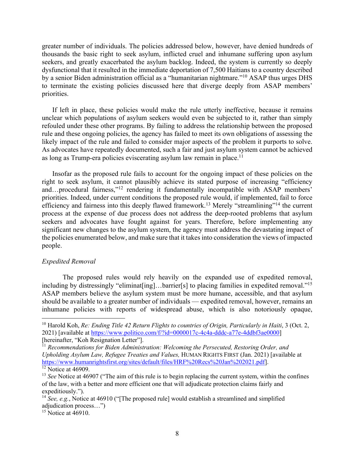greater number of individuals. The policies addressed below, however, have denied hundreds of thousands the basic right to seek asylum, inflicted cruel and inhumane suffering upon asylum seekers, and greatly exacerbated the asylum backlog. Indeed, the system is currently so deeply dysfunctional that it resulted in the immediate deportation of 7,500 Haitians to a country described by a senior Biden administration official as a "humanitarian nightmare."10 ASAP thus urges DHS to terminate the existing policies discussed here that diverge deeply from ASAP members' priorities.

If left in place, these policies would make the rule utterly ineffective, because it remains unclear which populations of asylum seekers would even be subjected to it, rather than simply refouled under these other programs. By failing to address the relationship between the proposed rule and these ongoing policies, the agency has failed to meet its own obligations of assessing the likely impact of the rule and failed to consider major aspects of the problem it purports to solve. As advocates have repeatedly documented, such a fair and just asylum system cannot be achieved as long as Trump-era policies eviscerating asylum law remain in place.<sup>11</sup>

Insofar as the proposed rule fails to account for the ongoing impact of these policies on the right to seek asylum, it cannot plausibly achieve its stated purpose of increasing "efficiency and…procedural fairness,"12 rendering it fundamentally incompatible with ASAP members' priorities. Indeed, under current conditions the proposed rule would, if implemented, fail to force efficiency and fairness into this deeply flawed framework.<sup>13</sup> Merely "streamlining"<sup>14</sup> the current process at the expense of due process does not address the deep-rooted problems that asylum seekers and advocates have fought against for years. Therefore, before implementing any significant new changes to the asylum system, the agency must address the devastating impact of the policies enumerated below, and make sure that it takes into consideration the views of impacted people.

#### *Expedited Removal*

The proposed rules would rely heavily on the expanded use of expedited removal, including by distressingly "eliminat[ing]...barrier[s] to placing families in expedited removal."<sup>15</sup> ASAP members believe the asylum system must be more humane, accessible, and that asylum should be available to a greater number of individuals — expedited removal, however, remains an inhumane policies with reports of widespread abuse, which is also notoriously opaque,

<sup>&</sup>lt;sup>10</sup> Harold Koh, *Re: Ending Title 42 Return Flights to countries of Origin, Particularly in Haiti, 3 (Oct. 2,* 2021) [available at https://www.politico.com/f/?id=0000017c-4c4a-dddc-a77e-4ddbf3ae0000] [hereinafter, "Koh Resignation Letter"].

<sup>11</sup> *Recommendations for Biden Administration: Welcoming the Persecuted, Restoring Order, and Upholding Asylum Law, Refugee Treaties and Values,* HUMAN RIGHTS FIRST (Jan. 2021) [available at https://www.humanrightsfirst.org/sites/default/files/HRF%20Recs%20Jan%202021.pdf].  $12$  Notice at 46909.

<sup>&</sup>lt;sup>13</sup> *See* Notice at 46907 ("The aim of this rule is to begin replacing the current system, within the confines of the law, with a better and more efficient one that will adjudicate protection claims fairly and expeditiously.").

<sup>&</sup>lt;sup>14</sup> *See, e.g.*, Notice at 46910 ("[The proposed rule] would establish a streamlined and simplified adjudication process…")

 $15$  Notice at 46910.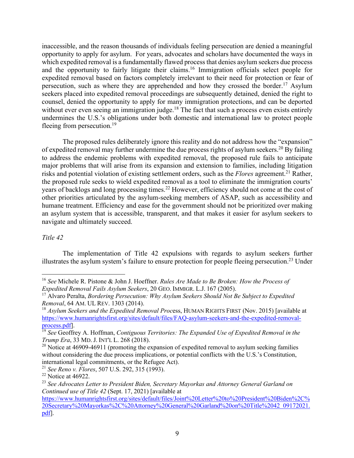inaccessible, and the reason thousands of individuals feeling persecution are denied a meaningful opportunity to apply for asylum. For years, advocates and scholars have documented the ways in which expedited removal is a fundamentally flawed process that denies asylum seekers due process and the opportunity to fairly litigate their claims.<sup>16</sup> Immigration officials select people for expedited removal based on factors completely irrelevant to their need for protection or fear of persecution, such as where they are apprehended and how they crossed the border.<sup>17</sup> Asylum seekers placed into expedited removal proceedings are subsequently detained, denied the right to counsel, denied the opportunity to apply for many immigration protections, and can be deported without ever even seeing an immigration judge.<sup>18</sup> The fact that such a process even exists entirely undermines the U.S.'s obligations under both domestic and international law to protect people fleeing from persecution.<sup>19</sup>

The proposed rules deliberately ignore this reality and do not address how the "expansion" of expedited removal may further undermine the due process rights of asylum seekers.<sup>20</sup> By failing to address the endemic problems with expedited removal, the proposed rule fails to anticipate major problems that will arise from its expansion and extension to families, including litigation risks and potential violation of existing settlement orders, such as the *Flores* agreement.21 Rather, the proposed rule seeks to wield expedited removal as a tool to eliminate the immigration courts' years of backlogs and long processing times.<sup>22</sup> However, efficiency should not come at the cost of other priorities articulated by the asylum-seeking members of ASAP, such as accessibility and humane treatment. Efficiency and ease for the government should not be prioritized over making an asylum system that is accessible, transparent, and that makes it easier for asylum seekers to navigate and ultimately succeed.

#### *Title 42*

The implementation of Title 42 expulsions with regards to asylum seekers further illustrates the asylum system's failure to ensure protection for people fleeing persecution.23 Under

<sup>21</sup> *See Reno v. Flores*, 507 U.S. 292, 315 (1993).

<sup>16</sup> *See* Michele R. Pistone & John J. Hoeffner. *Rules Are Made to Be Broken: How the Process of Expedited Removal Fails Asylum Seekers*, 20 GEO. IMMIGR. L.J. 167 (2005).

<sup>17</sup> Alvaro Peralta, *Bordering Persecution: Why Asylum Seekers Should Not Be Subject to Expedited Removal*, 64 AM. UL REV. 1303 (2014).

<sup>18</sup> *Asylum Seekers and the Expedited Removal Proc*ess, HUMAN RIGHTS FIRST (Nov. 2015) [available at https://www.humanrightsfirst.org/sites/default/files/FAQ-asylum-seekers-and-the-expedited-removalprocess.pdf].

<sup>19</sup> *See* Geoffrey A. Hoffman, *Contiguous Territories: The Expanded Use of Expedited Removal in the Trump Era*, 33 MD. J. INT'L L. 268 (2018).

<sup>&</sup>lt;sup>20</sup> Notice at 46909-46911 (promoting the expansion of expedited removal to asylum seeking families without considering the due process implications, or potential conflicts with the U.S.'s Constitution, international legal commitments, or the Refugee Act).

 $22$  Notice at 46922.

<sup>23</sup> *See Advocates Letter to President Biden, Secretary Mayorkas and Attorney General Garland on Continued use of Title 42* (Sept. 17, 2021) [available at

https://www.humanrightsfirst.org/sites/default/files/Joint%20Letter%20to%20President%20Biden%2C% 20Secretary%20Mayorkas%2C%20Attorney%20General%20Garland%20on%20Title%2042 09172021. pdf].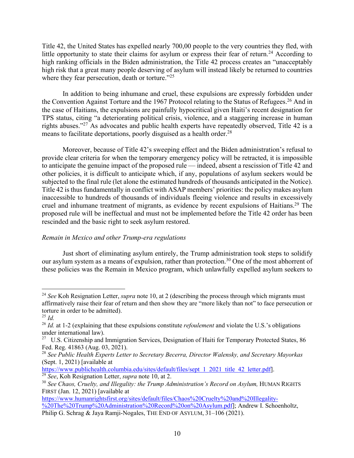Title 42, the United States has expelled nearly 700,00 people to the very countries they fled, with little opportunity to state their claims for asylum or express their fear of return.<sup>24</sup> According to high ranking officials in the Biden administration, the Title 42 process creates an "unacceptably high risk that a great many people deserving of asylum will instead likely be returned to countries where they fear persecution, death or torture."<sup>25</sup>

In addition to being inhumane and cruel, these expulsions are expressly forbidden under the Convention Against Torture and the 1967 Protocol relating to the Status of Refugees.<sup>26</sup> And in the case of Haitians, the expulsions are painfully hypocritical given Haiti's recent designation for TPS status, citing "a deteriorating political crisis, violence, and a staggering increase in human rights abuses."27 As advocates and public health experts have repeatedly observed, Title 42 is a means to facilitate deportations, poorly disguised as a health order.<sup>28</sup>

Moreover, because of Title 42's sweeping effect and the Biden administration's refusal to provide clear criteria for when the temporary emergency policy will be retracted, it is impossible to anticipate the genuine impact of the proposed rule — indeed, absent a rescission of Title 42 and other policies, it is difficult to anticipate which, if any, populations of asylum seekers would be subjected to the final rule (let alone the estimated hundreds of thousands anticipated in the Notice). Title 42 is thus fundamentally in conflict with ASAP members' priorities: the policy makes asylum inaccessible to hundreds of thousands of individuals fleeing violence and results in excessively cruel and inhumane treatment of migrants, as evidence by recent expulsions of Haitians.29 The proposed rule will be ineffectual and must not be implemented before the Title 42 order has been rescinded and the basic right to seek asylum restored.

# *Remain in Mexico and other Trump-era regulations*

Just short of eliminating asylum entirely, the Trump administration took steps to solidify our asylum system as a means of expulsion, rather than protection.<sup>30</sup> One of the most abhorrent of these policies was the Remain in Mexico program, which unlawfully expelled asylum seekers to

<sup>&</sup>lt;sup>24</sup> See Koh Resignation Letter, *supra* note 10, at 2 (describing the process through which migrants must affirmatively raise their fear of return and then show they are "more likely than not" to face persecution or torture in order to be admitted).

<sup>25</sup> *Id.*

<sup>26</sup> *Id.* at 1-2 (explaining that these expulsions constitute *refoulement* and violate the U.S.'s obligations under international law).

<sup>&</sup>lt;sup>27</sup> U.S. Citizenship and Immigration Services, Designation of Haiti for Temporary Protected States, 86 Fed. Reg. 41863 (Aug. 03, 2021).

<sup>28</sup> *See Public Health Experts Letter to Secretary Becerra, Director Walensky, and Secretary Mayorkas* (Sept. 1, 2021) [available at

https://www.publichealth.columbia.edu/sites/default/files/sept 1 2021 title 42 letter.pdf.

<sup>29</sup> *See*, Koh Resignation Letter, *supra* note 10, at 2.

<sup>&</sup>lt;sup>30</sup> See Chaos, Cruelty, and Illegality: the Trump Administration's Record on Asylum, HUMAN RIGHTS FIRST (Jan. 12, 2021) [available at

https://www.humanrightsfirst.org/sites/default/files/Chaos%20Cruelty%20and%20Illegality- %20The%20Trump%20Administration%20Record%20on%20Asylum.pdf]; Andrew I. Schoenholtz, Philip G. Schrag & Jaya Ramji-Nogales, THE END OF ASYLUM, 31–106 (2021).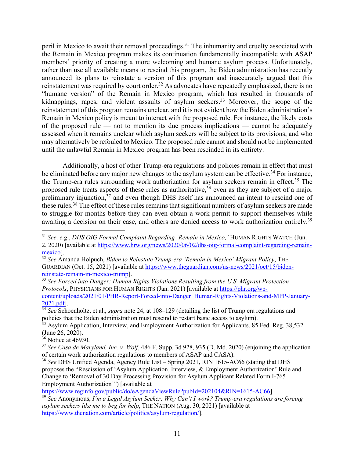peril in Mexico to await their removal proceedings.<sup>31</sup> The inhumanity and cruelty associated with the Remain in Mexico program makes its continuation fundamentally incompatible with ASAP members' priority of creating a more welcoming and humane asylum process. Unfortunately, rather than use all available means to rescind this program, the Biden administration has recently announced its plans to reinstate a version of this program and inaccurately argued that this reinstatement was required by court order.<sup>32</sup> As advocates have repeatedly emphasized, there is no "humane version" of the Remain in Mexico program, which has resulted in thousands of kidnappings, rapes, and violent assaults of asylum seekers.<sup>33</sup> Moreover, the scope of the reinstatement of this program remains unclear, and it is not evident how the Biden administration's Remain in Mexico policy is meant to interact with the proposed rule. For instance, the likely costs of the proposed rule — not to mention its due process implications — cannot be adequately assessed when it remains unclear which asylum seekers will be subject to its provisions, and who may alternatively be refouled to Mexico. The proposed rule cannot and should not be implemented until the unlawful Remain in Mexico program has been rescinded in its entirety.

Additionally, a host of other Trump-era regulations and policies remain in effect that must be eliminated before any major new changes to the asylum system can be effective.<sup>34</sup> For instance, the Trump-era rules surrounding work authorization for asylum seekers remain in effect.<sup>35</sup> The proposed rule treats aspects of these rules as authoritative,<sup>36</sup> even as they are subject of a major preliminary injunction,<sup>37</sup> and even though DHS itself has announced an intent to rescind one of these rules.38 The effect of these rules remains that significant numbers of asylum seekers are made to struggle for months before they can even obtain a work permit to support themselves while awaiting a decision on their case, and others are denied access to work authorization entirely.<sup>39</sup>

<sup>33</sup> *See Forced into Danger: Human Rights Violations Resulting from the U.S. Migrant Protection Protocols*, PHYSICIANS FOR HUMAN RIGHTS (Jan. 2021) [available at https://phr.org/wpcontent/uploads/2021/01/PHR-Report-Forced-into-Danger Human-Rights-Violations-and-MPP-January-2021.pdf].

<sup>31</sup> *See, e.g*., *DHS OIG Formal Complaint Regarding 'Remain in Mexico,'* HUMAN RIGHTS WATCH (Jun. 2, 2020) [available at https://www.hrw.org/news/2020/06/02/dhs-oig-formal-complaint-regarding-remainmexico].

<sup>&</sup>lt;sup>32</sup> See Amanda Holpuch, *Biden to Reinstate Trump-era 'Remain in Mexico' Migrant Policy*, THE GUARDIAN (Oct. 15, 2021) [available at https://www.theguardian.com/us-news/2021/oct/15/bidenreinstate-remain-in-mexico-trump].

<sup>&</sup>lt;sup>34</sup> See<sup>Schoenholtz, et al., *supra* note 24, at 108–129 (detailing the list of Trump era regulations and</sup> policies that the Biden administration must rescind to restart basic access to asylum).

 $35$  Asylum Application, Interview, and Employment Authorization for Applicants, 85 Fed. Reg. 38,532  $($  June 26, 2020).

 $36$  Notice at 46930.

<sup>37</sup> *See Casa de Maryland, Inc. v. Wolf*, 486 F. Supp. 3d 928, 935 (D. Md. 2020) (enjoining the application of certain work authorization regulations to members of ASAP and CASA).

<sup>38</sup> *See* DHS Unified Agenda, Agency Rule List – Spring 2021, RIN 1615-AC66 (stating that DHS proposes the "Rescission of 'Asylum Application, Interview, & Employment Authorization' Rule and Change to 'Removal of 30 Day Processing Provision for Asylum Applicant Related Form I-765 Employment Authorization'") [available at

https://www.reginfo.gov/public/do/eAgendaViewRule?pubId=202104&RIN=1615-AC66].

<sup>39</sup> *See* Anonymous, *I'm a Legal Asylum Seeker: Why Can't I work? Trump-era regulations are forcing asylum seekers like me to beg for help*, THE NATION (Aug. 30, 2021) [available at https://www.thenation.com/article/politics/asylum-regulation/].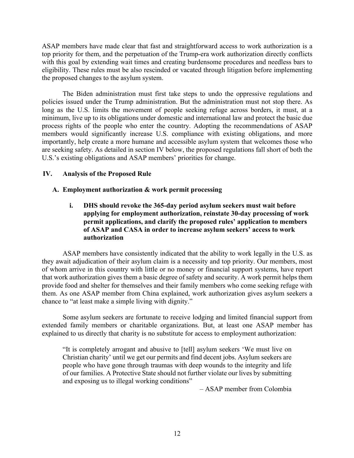ASAP members have made clear that fast and straightforward access to work authorization is a top priority for them, and the perpetuation of the Trump-era work authorization directly conflicts with this goal by extending wait times and creating burdensome procedures and needless bars to eligibility. These rules must be also rescinded or vacated through litigation before implementing the proposed changes to the asylum system.

The Biden administration must first take steps to undo the oppressive regulations and policies issued under the Trump administration. But the administration must not stop there. As long as the U.S. limits the movement of people seeking refuge across borders, it must, at a minimum, live up to its obligations under domestic and international law and protect the basic due process rights of the people who enter the country. Adopting the recommendations of ASAP members would significantly increase U.S. compliance with existing obligations, and more importantly, help create a more humane and accessible asylum system that welcomes those who are seeking safety. As detailed in section IV below, the proposed regulations fall short of both the U.S.'s existing obligations and ASAP members' priorities for change.

# **IV. Analysis of the Proposed Rule**

### **A. Employment authorization & work permit processing**

**i. DHS should revoke the 365-day period asylum seekers must wait before applying for employment authorization, reinstate 30-day processing of work permit applications, and clarify the proposed rules' application to members of ASAP and CASA in order to increase asylum seekers' access to work authorization**

ASAP members have consistently indicated that the ability to work legally in the U.S. as they await adjudication of their asylum claim is a necessity and top priority. Our members, most of whom arrive in this country with little or no money or financial support systems, have report that work authorization gives them a basic degree of safety and security. A work permit helps them provide food and shelter for themselves and their family members who come seeking refuge with them. As one ASAP member from China explained, work authorization gives asylum seekers a chance to "at least make a simple living with dignity."

Some asylum seekers are fortunate to receive lodging and limited financial support from extended family members or charitable organizations. But, at least one ASAP member has explained to us directly that charity is no substitute for access to employment authorization:

"It is completely arrogant and abusive to [tell] asylum seekers 'We must live on Christian charity' until we get our permits and find decent jobs. Asylum seekers are people who have gone through traumas with deep wounds to the integrity and life of our families. A Protective State should not further violate our lives by submitting and exposing us to illegal working conditions"

– ASAP member from Colombia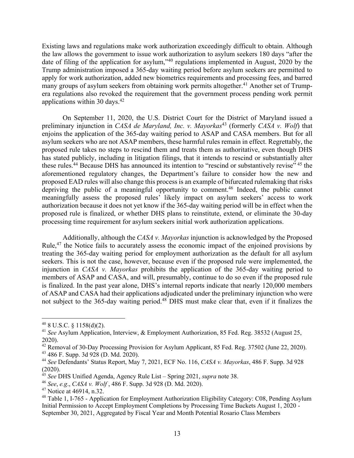Existing laws and regulations make work authorization exceedingly difficult to obtain. Although the law allows the government to issue work authorization to asylum seekers 180 days "after the date of filing of the application for asylum,"40 regulations implemented in August, 2020 by the Trump administration imposed a 365-day waiting period before asylum seekers are permitted to apply for work authorization, added new biometrics requirements and processing fees, and barred many groups of asylum seekers from obtaining work permits altogether.<sup>41</sup> Another set of Trumpera regulations also revoked the requirement that the government process pending work permit applications within 30 days.42

On September 11, 2020, the U.S. District Court for the District of Maryland issued a preliminary injunction in *CASA de Maryland, Inc. v. Mayorkas*<sup>43</sup> (formerly *CASA v. Wolf*) that enjoins the application of the 365-day waiting period to ASAP and CASA members. But for all asylum seekers who are not ASAP members, these harmful rules remain in effect. Regrettably, the proposed rule takes no steps to rescind them and treats them as authoritative, even though DHS has stated publicly, including in litigation filings, that it intends to rescind or substantially alter these rules.<sup>44</sup> Because DHS has announced its intention to "rescind or substantively revise" <sup>45</sup> the aforementioned regulatory changes, the Department's failure to consider how the new and proposed EAD rules will also change this process is an example of bifurcated rulemaking that risks depriving the public of a meaningful opportunity to comment.<sup>46</sup> Indeed, the public cannot meaningfully assess the proposed rules' likely impact on asylum seekers' access to work authorization because it does not yet know if the 365-day waiting period will be in effect when the proposed rule is finalized, or whether DHS plans to reinstitute, extend, or eliminate the 30-day processing time requirement for asylum seekers initial work authorization applications.

Additionally, although the *CASA v. Mayorkas* injunction is acknowledged by the Proposed Rule,<sup>47</sup> the Notice fails to accurately assess the economic impact of the enjoined provisions by treating the 365-day waiting period for employment authorization as the default for all asylum seekers. This is not the case, however, because even if the proposed rule were implemented, the injunction in *CASA v. Mayorkas* prohibits the application of the 365-day waiting period to members of ASAP and CASA, and will, presumably, continue to do so even if the proposed rule is finalized. In the past year alone, DHS's internal reports indicate that nearly 120,000 members of ASAP and CASA had their applications adjudicated under the preliminary injunction who were not subject to the 365-day waiting period.<sup>48</sup> DHS must make clear that, even if it finalizes the

 $40$  8 U.S.C. § 1158(d)(2).

<sup>41</sup> *See* Asylum Application, Interview, & Employment Authorization, 85 Fed. Reg. 38532 (August 25, 2020).

<sup>&</sup>lt;sup>42</sup> Removal of 30-Day Processing Provision for Asylum Applicant, 85 Fed. Reg. 37502 (June 22, 2020).

<sup>43</sup> 486 F. Supp. 3d 928 (D. Md. 2020).

<sup>44</sup> *See* Defendants' Status Report, May 7, 2021, ECF No. 116, *CASA v. Mayorkas*, 486 F. Supp. 3d 928 (2020).

<sup>45</sup> *See* DHS Unified Agenda, Agency Rule List – Spring 2021, *supra* note 38.

<sup>46</sup> *See*, *e.g*., *CASA v. Wolf* , 486 F. Supp. 3d 928 (D. Md. 2020).

<sup>&</sup>lt;sup>47</sup> Notice at 46914, n.32.

<sup>48</sup> Table 1, I-765 - Application for Employment Authorization Eligibility Category: C08, Pending Asylum Initial Permission to Accept Employment Completions by Processing Time Buckets August 1, 2020 - September 30, 2021, Aggregated by Fiscal Year and Month Potential Rosario Class Members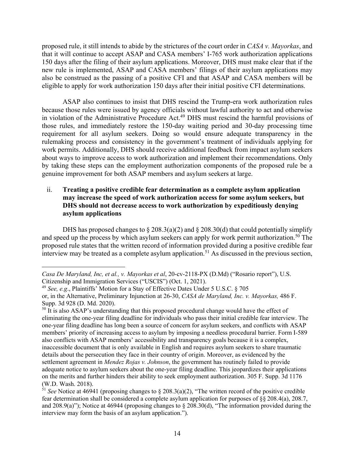proposed rule, it still intends to abide by the strictures of the court order in *CASA v. Mayorkas*, and that it will continue to accept ASAP and CASA members' I-765 work authorization applications 150 days after the filing of their asylum applications. Moreover, DHS must make clear that if the new rule is implemented, ASAP and CASA members' filings of their asylum applications may also be construed as the passing of a positive CFI and that ASAP and CASA members will be eligible to apply for work authorization 150 days after their initial positive CFI determinations.

ASAP also continues to insist that DHS rescind the Trump-era work authorization rules because those rules were issued by agency officials without lawful authority to act and otherwise in violation of the Administrative Procedure Act.49 DHS must rescind the harmful provisions of those rules, and immediately restore the 150-day waiting period and 30-day processing time requirement for all asylum seekers. Doing so would ensure adequate transparency in the rulemaking process and consistency in the government's treatment of individuals applying for work permits. Additionally, DHS should receive additional feedback from impact asylum seekers about ways to improve access to work authorization and implement their recommendations. Only by taking these steps can the employment authorization components of the proposed rule be a genuine improvement for both ASAP members and asylum seekers at large.

#### ii. **Treating a positive credible fear determination as a complete asylum application may increase the speed of work authorization access for some asylum seekers, but DHS should not decrease access to work authorization by expeditiously denying asylum applications**

DHS has proposed changes to  $\S 208.3(a)(2)$  and  $\S 208.30(d)$  that could potentially simplify and speed up the process by which asylum seekers can apply for work permit authorization.<sup>50</sup> The proposed rule states that the written record of information provided during a positive credible fear interview may be treated as a complete asylum application.<sup>51</sup> As discussed in the previous section,

*Casa De Maryland, Inc, et al., v. Mayorkas et al*, 20-cv-2118-PX (D.Md) ("Rosario report"), U.S. Citizenship and Immigration Services ("USCIS") (Oct. 1, 2021).

<sup>49</sup> *See, e.g*., Plaintiffs' Motion for a Stay of Effective Dates Under 5 U.S.C. § 705

or, in the Alternative, Preliminary Injunction at 26-30, *CASA de Maryland, Inc. v. Mayorkas,* 486 F. Supp. 3d 928 (D. Md. 2020).

 $50$  It is also ASAP's understanding that this proposed procedural change would have the effect of eliminating the one-year filing deadline for individuals who pass their initial credible fear interview. The one-year filing deadline has long been a source of concern for asylum seekers, and conflicts with ASAP members' priority of increasing access to asylum by imposing a needless procedural barrier. Form I-589 also conflicts with ASAP members' accessibility and transparency goals because it is a complex, inaccessible document that is only available in English and requires asylum seekers to share traumatic details about the persecution they face in their country of origin. Moreover, as evidenced by the settlement agreement in *Mendez Rojas v. Johnson*, the government has routinely failed to provide adequate notice to asylum seekers about the one-year filing deadline. This jeopardizes their applications on the merits and further hinders their ability to seek employment authorization. 305 F. Supp. 3d 1176 (W.D. Wash. 2018).

 $51$  *See* Notice at 46941 (proposing changes to § 208.3(a)(2), "The written record of the positive credible fear determination shall be considered a complete asylum application for purposes of §§ 208.4(a), 208.7, and 208.9(a)"); Notice at 46944 (proposing changes to § 208.30(d), "The information provided during the interview may form the basis of an asylum application.").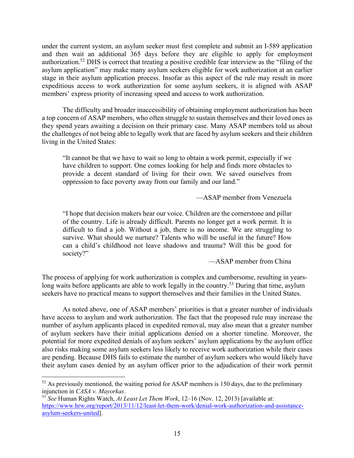under the current system, an asylum seeker must first complete and submit an I-589 application and then wait an additional 365 days before they are eligible to apply for employment authorization.52 DHS is correct that treating a positive credible fear interview as the "filing of the asylum application" may make many asylum seekers eligible for work authorization at an earlier stage in their asylum application process. Insofar as this aspect of the rule may result in more expeditious access to work authorization for some asylum seekers, it is aligned with ASAP members' express priority of increasing speed and access to work authorization.

The difficulty and broader inaccessibility of obtaining employment authorization has been a top concern of ASAP members, who often struggle to sustain themselves and their loved ones as they spend years awaiting a decision on their primary case. Many ASAP members told us about the challenges of not being able to legally work that are faced by asylum seekers and their children living in the United States:

"It cannot be that we have to wait so long to obtain a work permit, especially if we have children to support. One comes looking for help and finds more obstacles to provide a decent standard of living for their own. We saved ourselves from oppression to face poverty away from our family and our land."

—ASAP member from Venezuela

"I hope that decision makers hear our voice. Children are the cornerstone and pillar of the country. Life is already difficult. Parents no longer get a work permit. It is difficult to find a job. Without a job, there is no income. We are struggling to survive. What should we nurture? Talents who will be useful in the future? How can a child's childhood not leave shadows and trauma? Will this be good for society?"

—ASAP member from China

The process of applying for work authorization is complex and cumbersome, resulting in yearslong waits before applicants are able to work legally in the country.<sup>53</sup> During that time, asylum seekers have no practical means to support themselves and their families in the United States.

As noted above, one of ASAP members' priorities is that a greater number of individuals have access to asylum and work authorization. The fact that the proposed rule may increase the number of asylum applicants placed in expedited removal, may also mean that a greater number of asylum seekers have their initial applications denied on a shorter timeline. Moreover, the potential for more expedited denials of asylum seekers' asylum applications by the asylum office also risks making some asylum seekers less likely to receive work authorization while their cases are pending. Because DHS fails to estimate the number of asylum seekers who would likely have their asylum cases denied by an asylum officer prior to the adjudication of their work permit

 $52$  As previously mentioned, the waiting period for ASAP members is 150 days, due to the preliminary injunction in *CASA v. Mayorkas*.

<sup>53</sup> *See* Human Rights Watch, *At Least Let Them Work*, 12–16 (Nov. 12, 2013) [available at: https://www.hrw.org/report/2013/11/12/least-let-them-work/denial-work-authorization-and-assistanceasylum-seekers-united].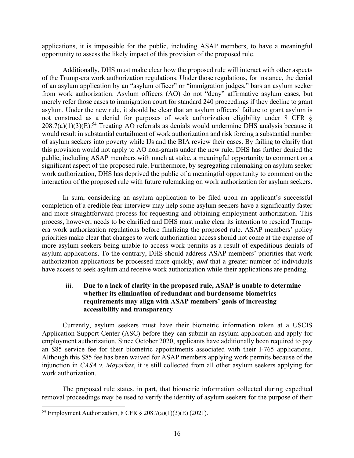applications, it is impossible for the public, including ASAP members, to have a meaningful opportunity to assess the likely impact of this provision of the proposed rule.

Additionally, DHS must make clear how the proposed rule will interact with other aspects of the Trump-era work authorization regulations. Under those regulations, for instance, the denial of an asylum application by an "asylum officer" or "immigration judges," bars an asylum seeker from work authorization. Asylum officers (AO) do not "deny" affirmative asylum cases, but merely refer those cases to immigration court for standard 240 proceedings if they decline to grant asylum. Under the new rule, it should be clear that an asylum officers' failure to grant asylum is not construed as a denial for purposes of work authorization eligibility under 8 CFR §  $208.7(a)(1)(3)(E).<sup>54</sup> Treating AO referrals as denials would undermine DHS analysis because it$ would result in substantial curtailment of work authorization and risk forcing a substantial number of asylum seekers into poverty while IJs and the BIA review their cases. By failing to clarify that this provision would not apply to AO non-grants under the new rule, DHS has further denied the public, including ASAP members with much at stake, a meaningful opportunity to comment on a significant aspect of the proposed rule. Furthermore, by segregating rulemaking on asylum seeker work authorization, DHS has deprived the public of a meaningful opportunity to comment on the interaction of the proposed rule with future rulemaking on work authorization for asylum seekers.

In sum, considering an asylum application to be filed upon an applicant's successful completion of a credible fear interview may help some asylum seekers have a significantly faster and more straightforward process for requesting and obtaining employment authorization. This process, however, needs to be clarified and DHS must make clear its intention to rescind Trumpera work authorization regulations before finalizing the proposed rule. ASAP members' policy priorities make clear that changes to work authorization access should not come at the expense of more asylum seekers being unable to access work permits as a result of expeditious denials of asylum applications. To the contrary, DHS should address ASAP members' priorities that work authorization applications be processed more quickly, *and* that a greater number of individuals have access to seek asylum and receive work authorization while their applications are pending.

## iii. **Due to a lack of clarity in the proposed rule, ASAP is unable to determine whether its elimination of redundant and burdensome biometrics requirements may align with ASAP members' goals of increasing accessibility and transparency**

Currently, asylum seekers must have their biometric information taken at a USCIS Application Support Center (ASC) before they can submit an asylum application and apply for employment authorization. Since October 2020, applicants have additionally been required to pay an \$85 service fee for their biometric appointments associated with their I-765 applications. Although this \$85 fee has been waived for ASAP members applying work permits because of the injunction in *CASA v. Mayorkas*, it is still collected from all other asylum seekers applying for work authorization.

The proposed rule states, in part, that biometric information collected during expedited removal proceedings may be used to verify the identity of asylum seekers for the purpose of their

<sup>&</sup>lt;sup>54</sup> Employment Authorization, 8 CFR § 208.7(a)(1)(3)(E) (2021).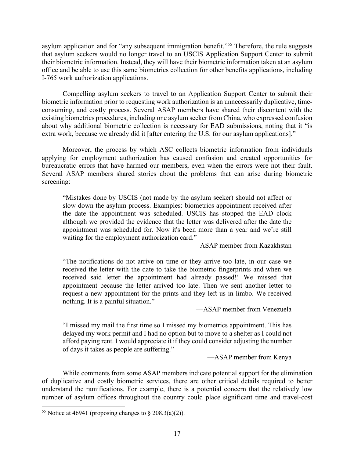asylum application and for "any subsequent immigration benefit."<sup>55</sup> Therefore, the rule suggests that asylum seekers would no longer travel to an USCIS Application Support Center to submit their biometric information. Instead, they will have their biometric information taken at an asylum office and be able to use this same biometrics collection for other benefits applications, including I-765 work authorization applications.

Compelling asylum seekers to travel to an Application Support Center to submit their biometric information prior to requesting work authorization is an unnecessarily duplicative, timeconsuming, and costly process. Several ASAP members have shared their discontent with the existing biometrics procedures, including one asylum seeker from China, who expressed confusion about why additional biometric collection is necessary for EAD submissions, noting that it "is extra work, because we already did it [after entering the U.S. for our asylum applications]."

Moreover, the process by which ASC collects biometric information from individuals applying for employment authorization has caused confusion and created opportunities for bureaucratic errors that have harmed our members, even when the errors were not their fault. Several ASAP members shared stories about the problems that can arise during biometric screening:

"Mistakes done by USCIS (not made by the asylum seeker) should not affect or slow down the asylum process. Examples: biometrics appointment received after the date the appointment was scheduled. USCIS has stopped the EAD clock although we provided the evidence that the letter was delivered after the date the appointment was scheduled for. Now it's been more than a year and we're still waiting for the employment authorization card."

—ASAP member from Kazakhstan

"The notifications do not arrive on time or they arrive too late, in our case we received the letter with the date to take the biometric fingerprints and when we received said letter the appointment had already passed!! We missed that appointment because the letter arrived too late. Then we sent another letter to request a new appointment for the prints and they left us in limbo. We received nothing. It is a painful situation."

—ASAP member from Venezuela

"I missed my mail the first time so I missed my biometrics appointment. This has delayed my work permit and I had no option but to move to a shelter as I could not afford paying rent. I would appreciate it if they could consider adjusting the number of days it takes as people are suffering."

—ASAP member from Kenya

While comments from some ASAP members indicate potential support for the elimination of duplicative and costly biometric services, there are other critical details required to better understand the ramifications. For example, there is a potential concern that the relatively low number of asylum offices throughout the country could place significant time and travel-cost

<sup>&</sup>lt;sup>55</sup> Notice at 46941 (proposing changes to § 208.3(a)(2)).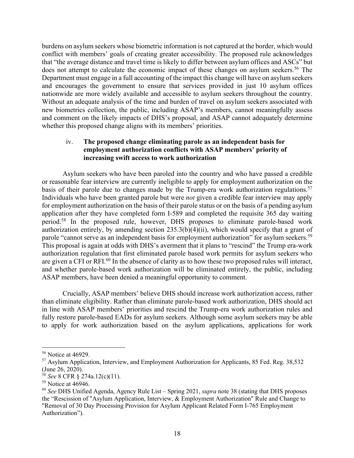burdens on asylum seekers whose biometric information is not captured at the border, which would conflict with members' goals of creating greater accessibility. The proposed rule acknowledges that "the average distance and travel time is likely to differ between asylum offices and ASCs" but does not attempt to calculate the economic impact of these changes on asylum seekers.<sup>56</sup> The Department must engage in a full accounting of the impact this change will have on asylum seekers and encourages the government to ensure that services provided in just 10 asylum offices nationwide are more widely available and accessible to asylum seekers throughout the country. Without an adequate analysis of the time and burden of travel on asylum seekers associated with new biometrics collection, the public, including ASAP's members, cannot meaningfully assess and comment on the likely impacts of DHS's proposal, and ASAP cannot adequately determine whether this proposed change aligns with its members' priorities.

## iv. **The proposed change eliminating parole as an independent basis for employment authorization conflicts with ASAP members' priority of increasing swift access to work authorization**

Asylum seekers who have been paroled into the country and who have passed a credible or reasonable fear interview are currently ineligible to apply for employment authorization on the basis of their parole due to changes made by the Trump-era work authorization regulations.<sup>57</sup> Individuals who have been granted parole but were *not* given a credible fear interview may apply for employment authorization on the basis of their parole status or on the basis of a pending asylum application after they have completed form I-589 and completed the requisite 365 day waiting period.58 In the proposed rule, however, DHS proposes to eliminate parole-based work authorization entirely, by amending section  $235.3(b)(4)(ii)$ , which would specify that a grant of parole "cannot serve as an independent basis for employment authorization" for asylum seekers.<sup>59</sup> This proposal is again at odds with DHS's averment that it plans to "rescind" the Trump era-work authorization regulation that first eliminated parole based work permits for asylum seekers who are given a CFI or RFI.<sup>60</sup> In the absence of clarity as to how these two proposed rules will interact, and whether parole-based work authorization will be eliminated entirely, the public, including ASAP members, have been denied a meaningful opportunity to comment.

Crucially, ASAP members' believe DHS should increase work authorization access, rather than eliminate eligibility. Rather than eliminate parole-based work authorization, DHS should act in line with ASAP members' priorities and rescind the Trump-era work authorization rules and fully restore parole-based EADs for asylum seekers. Although some asylum seekers may be able to apply for work authorization based on the asylum applications, applications for work

<sup>56</sup> Notice at 46929.

 $57$  Asylum Application, Interview, and Employment Authorization for Applicants, 85 Fed. Reg. 38,532 (June 26, 2020).

<sup>58</sup> *See* 8 CFR § 274a.12(c)(11).

<sup>&</sup>lt;sup>59</sup> Notice at 46946.

<sup>60</sup> *See* DHS Unified Agenda, Agency Rule List – Spring 2021, *supra* note 38 (stating that DHS proposes the "Rescission of "Asylum Application, Interview, & Employment Authorization" Rule and Change to "Removal of 30 Day Processing Provision for Asylum Applicant Related Form I-765 Employment Authorization").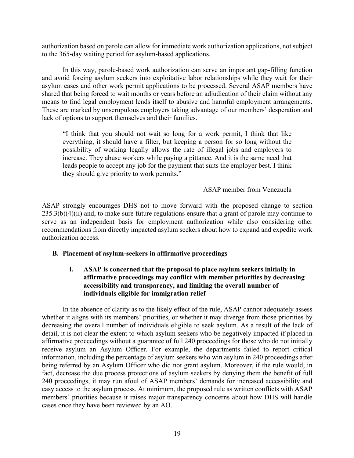authorization based on parole can allow for immediate work authorization applications, not subject to the 365-day waiting period for asylum-based applications.

In this way, parole-based work authorization can serve an important gap-filling function and avoid forcing asylum seekers into exploitative labor relationships while they wait for their asylum cases and other work permit applications to be processed. Several ASAP members have shared that being forced to wait months or years before an adjudication of their claim without any means to find legal employment lends itself to abusive and harmful employment arrangements. These are marked by unscrupulous employers taking advantage of our members' desperation and lack of options to support themselves and their families.

"I think that you should not wait so long for a work permit, I think that like everything, it should have a filter, but keeping a person for so long without the possibility of working legally allows the rate of illegal jobs and employers to increase. They abuse workers while paying a pittance. And it is the same need that leads people to accept any job for the payment that suits the employer best. I think they should give priority to work permits."

—ASAP member from Venezuela

ASAP strongly encourages DHS not to move forward with the proposed change to section 235.3(b)(4)(ii) and, to make sure future regulations ensure that a grant of parole may continue to serve as an independent basis for employment authorization while also considering other recommendations from directly impacted asylum seekers about how to expand and expedite work authorization access.

# **B. Placement of asylum-seekers in affirmative proceedings**

### **i. ASAP is concerned that the proposal to place asylum seekers initially in affirmative proceedings may conflict with member priorities by decreasing accessibility and transparency, and limiting the overall number of individuals eligible for immigration relief**

In the absence of clarity as to the likely effect of the rule, ASAP cannot adequately assess whether it aligns with its members' priorities, or whether it may diverge from those priorities by decreasing the overall number of individuals eligible to seek asylum. As a result of the lack of detail, it is not clear the extent to which asylum seekers who be negatively impacted if placed in affirmative proceedings without a guarantee of full 240 proceedings for those who do not initially receive asylum an Asylum Officer. For example, the departments failed to report critical information, including the percentage of asylum seekers who win asylum in 240 proceedings after being referred by an Asylum Officer who did not grant asylum. Moreover, if the rule would, in fact, decrease the due process protections of asylum seekers by denying them the benefit of full 240 proceedings, it may run afoul of ASAP members' demands for increased accessibility and easy access to the asylum process. At minimum, the proposed rule as written conflicts with ASAP members' priorities because it raises major transparency concerns about how DHS will handle cases once they have been reviewed by an AO.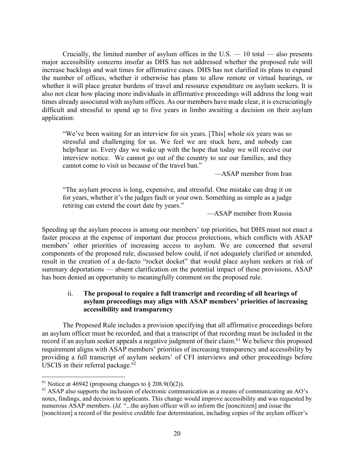Crucially, the limited number of asylum offices in the U.S. — 10 total — also presents major accessibility concerns insofar as DHS has not addressed whether the proposed rule will increase backlogs and wait times for affirmative cases. DHS has not clarified its plans to expand the number of offices, whether it otherwise has plans to allow remote or virtual hearings, or whether it will place greater burdens of travel and resource expenditure on asylum seekers. It is also not clear how placing more individuals in affirmative proceedings will address the long wait times already associated with asylum offices. As our members have made clear, it is excruciatingly difficult and stressful to spend up to five years in limbo awaiting a decision on their asylum application:

"We've been waiting for an interview for six years. [This] whole six years was so stressful and challenging for us. We feel we are stuck here, and nobody can help/hear us. Every day we wake up with the hope that today we will receive our interview notice. We cannot go out of the country to see our families, and they cannot come to visit us because of the travel ban."

—ASAP member from Iran

"The asylum process is long, expensive, and stressful. One mistake can drag it on for years, whether it's the judges fault or your own. Something as simple as a judge retiring can extend the court date by years."

—ASAP member from Russia

Speeding up the asylum process is among our members' top priorities, but DHS must not enact a faster process at the expense of important due process protections, which conflicts with ASAP members' other priorities of increasing access to asylum. We are concerned that several components of the proposed rule, discussed below could, if not adequately clarified or amended, result in the creation of a de-facto "rocket docket" that would place asylum seekers at risk of summary deportations — absent clarification on the potential impact of these provisions, ASAP has been denied an opportunity to meaningfully comment on the proposed rule.

#### ii. **The proposal to require a full transcript and recording of all hearings of asylum proceedings may align with ASAP members' priorities of increasing accessibility and transparency**

The Proposed Rule includes a provision specifying that all affirmative proceedings before an asylum officer must be recorded, and that a transcript of that recording must be included in the record if an asylum seeker appeals a negative judgment of their claim.<sup>61</sup> We believe this proposed requirement aligns with ASAP members' priorities of increasing transparency and accessibility by providing a full transcript of asylum seekers' of CFI interviews and other proceedings before USCIS in their referral package. $62$ 

<sup>&</sup>lt;sup>61</sup> Notice at 46942 (proposing changes to  $\S 208.9(f)(2)$ ).

<sup>&</sup>lt;sup>62</sup> ASAP also supports the inclusion of electronic communication as a means of communicating an AO's notes, findings, and decision to applicants. This change would improve accessibility and was requested by numerous ASAP members. (*Id.* "...the asylum officer will so inform the [noncitizen] and issue the [noncitizen] a record of the positive credible fear determination, including copies of the asylum officer's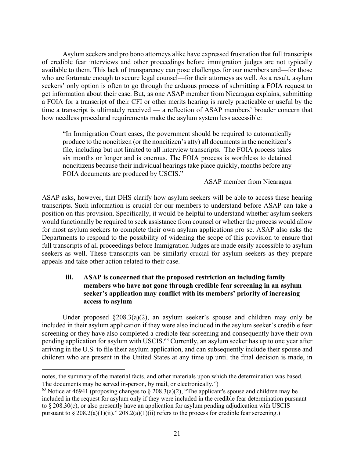Asylum seekers and pro bono attorneys alike have expressed frustration that full transcripts of credible fear interviews and other proceedings before immigration judges are not typically available to them. This lack of transparency can pose challenges for our members and—for those who are fortunate enough to secure legal counsel—for their attorneys as well. As a result, asylum seekers' only option is often to go through the arduous process of submitting a FOIA request to get information about their case. But, as one ASAP member from Nicaragua explains, submitting a FOIA for a transcript of their CFI or other merits hearing is rarely practicable or useful by the time a transcript is ultimately received — a reflection of ASAP members' broader concern that how needless procedural requirements make the asylum system less accessible:

"In Immigration Court cases, the government should be required to automatically produce to the noncitizen (or the noncitizen's atty) all documents in the noncitizen's file, including but not limited to all interview transcripts. The FOIA process takes six months or longer and is onerous. The FOIA process is worthless to detained noncitizens because their individual hearings take place quickly, months before any FOIA documents are produced by USCIS."

—ASAP member from Nicaragua

ASAP asks, however, that DHS clarify how asylum seekers will be able to access these hearing transcripts. Such information is crucial for our members to understand before ASAP can take a position on this provision. Specifically, it would be helpful to understand whether asylum seekers would functionally be required to seek assistance from counsel or whether the process would allow for most asylum seekers to complete their own asylum applications pro se. ASAP also asks the Departments to respond to the possibility of widening the scope of this provision to ensure that full transcripts of all proceedings before Immigration Judges are made easily accessible to asylum seekers as well. These transcripts can be similarly crucial for asylum seekers as they prepare appeals and take other action related to their case.

## **iii. ASAP is concerned that the proposed restriction on including family members who have not gone through credible fear screening in an asylum seeker's application may conflict with its members' priority of increasing access to asylum**

Under proposed §208.3(a)(2), an asylum seeker's spouse and children may only be included in their asylum application if they were also included in the asylum seeker's credible fear screening or they have also completed a credible fear screening and consequently have their own pending application for asylum with USCIS.<sup>63</sup> Currently, an asylum seeker has up to one year after arriving in the U.S. to file their asylum application, and can subsequently include their spouse and children who are present in the United States at any time up until the final decision is made, in

notes, the summary of the material facts, and other materials upon which the determination was based. The documents may be served in-person, by mail, or electronically.")

<sup>&</sup>lt;sup>63</sup> Notice at 46941 (proposing changes to § 208.3(a)(2), "The applicant's spouse and children may be included in the request for asylum only if they were included in the credible fear determination pursuant to § 208.30(c), or also presently have an application for asylum pending adjudication with USCIS pursuant to  $\S 208.2(a)(1)(ii)$ ."  $208.2(a)(1)(ii)$  refers to the process for credible fear screening.)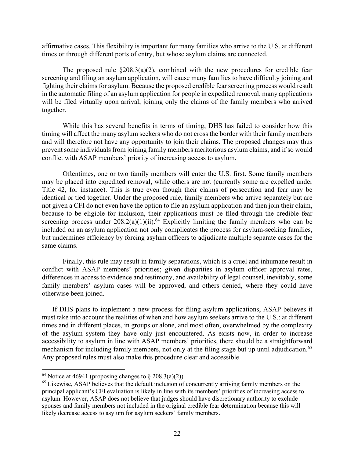affirmative cases. This flexibility is important for many families who arrive to the U.S. at different times or through different ports of entry, but whose asylum claims are connected.

The proposed rule  $\S 208.3(a)(2)$ , combined with the new procedures for credible fear screening and filing an asylum application, will cause many families to have difficulty joining and fighting their claims for asylum. Because the proposed credible fear screening process would result in the automatic filing of an asylum application for people in expedited removal, many applications will be filed virtually upon arrival, joining only the claims of the family members who arrived together.

While this has several benefits in terms of timing, DHS has failed to consider how this timing will affect the many asylum seekers who do not cross the border with their family members and will therefore not have any opportunity to join their claims. The proposed changes may thus prevent some individuals from joining family members meritorious asylum claims, and if so would conflict with ASAP members' priority of increasing access to asylum.

Oftentimes, one or two family members will enter the U.S. first. Some family members may be placed into expedited removal, while others are not (currently some are expelled under Title 42, for instance). This is true even though their claims of persecution and fear may be identical or tied together. Under the proposed rule, family members who arrive separately but are not given a CFI do not even have the option to file an asylum application and then join their claim, because to be eligible for inclusion, their applications must be filed through the credible fear screening process under  $208.2(a)(1)(ii)$ .<sup>64</sup> Explicitly limiting the family members who can be included on an asylum application not only complicates the process for asylum-seeking families, but undermines efficiency by forcing asylum officers to adjudicate multiple separate cases for the same claims.

Finally, this rule may result in family separations, which is a cruel and inhumane result in conflict with ASAP members' priorities; given disparities in asylum officer approval rates, differences in access to evidence and testimony, and availability of legal counsel, inevitably, some family members' asylum cases will be approved, and others denied, where they could have otherwise been joined.

If DHS plans to implement a new process for filing asylum applications, ASAP believes it must take into account the realities of when and how asylum seekers arrive to the U.S.: at different times and in different places, in groups or alone, and most often, overwhelmed by the complexity of the asylum system they have only just encountered. As exists now, in order to increase accessibility to asylum in line with ASAP members' priorities, there should be a straightforward mechanism for including family members, not only at the filing stage but up until adjudication.<sup>65</sup> Any proposed rules must also make this procedure clear and accessible.

<sup>&</sup>lt;sup>64</sup> Notice at 46941 (proposing changes to  $\S 208.3(a)(2)$ ).

<sup>&</sup>lt;sup>65</sup> Likewise, ASAP believes that the default inclusion of concurrently arriving family members on the principal applicant's CFI evaluation is likely in line with its members' priorities of increasing access to asylum. However, ASAP does not believe that judges should have discretionary authority to exclude spouses and family members not included in the original credible fear determination because this will likely decrease access to asylum for asylum seekers' family members.